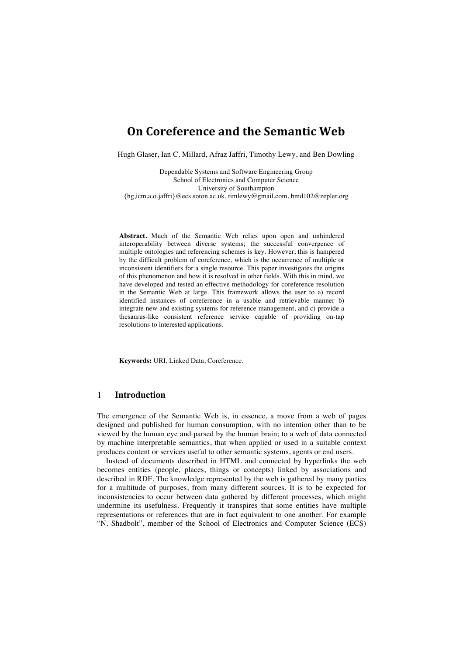# **On Coreference and the Semantic Web**

Hugh Glaser, Ian C. Millard, Afraz Jaffri, Timothy Lewy, and Ben Dowling

Dependable Systems and Software Engineering Group School of Electronics and Computer Science University of Southampton {hg,icm,a.o.jaffri}@ecs.soton.ac.uk, timlewy@gmail.com, bmd102@zepler.org

**Abstract.** Much of the Semantic Web relies upon open and unhindered interoperability between diverse systems; the successful convergence of multiple ontologies and referencing schemes is key. However, this is hampered by the difficult problem of coreference, which is the occurrence of multiple or inconsistent identifiers for a single resource. This paper investigates the origins of this phenomenon and how it is resolved in other fields. With this in mind, we have developed and tested an effective methodology for coreference resolution in the Semantic Web at large. This framework allows the user to a) record identified instances of coreference in a usable and retrievable manner b) integrate new and existing systems for reference management, and c) provide a thesaurus-like consistent reference service capable of providing on-tap resolutions to interested applications.

**Keywords:** URI, Linked Data, Coreference.

### 1 **Introduction**

The emergence of the Semantic Web is, in essence, a move from a web of pages designed and published for human consumption, with no intention other than to be viewed by the human eye and parsed by the human brain; to a web of data connected by machine interpretable semantics, that when applied or used in a suitable context produces content or services useful to other semantic systems, agents or end users.

Instead of documents described in HTML and connected by hyperlinks the web becomes entities (people, places, things or concepts) linked by associations and described in RDF. The knowledge represented by the web is gathered by many parties for a multitude of purposes, from many different sources. It is to be expected for inconsistencies to occur between data gathered by different processes, which might undermine its usefulness. Frequently it transpires that some entities have multiple representations or references that are in fact equivalent to one another. For example "N. Shadbolt", member of the School of Electronics and Computer Science (ECS)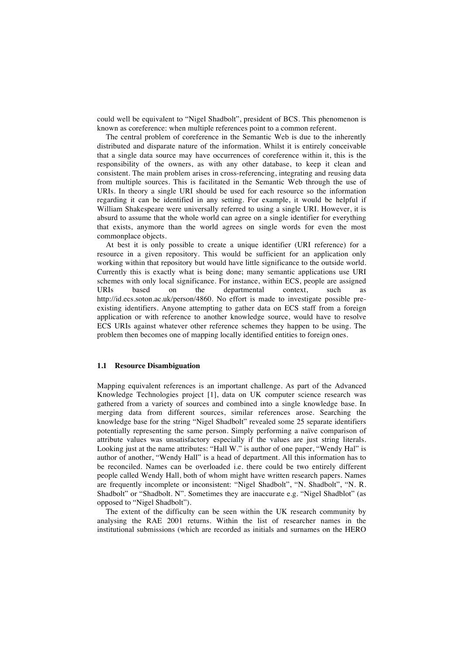could well be equivalent to "Nigel Shadbolt", president of BCS. This phenomenon is known as coreference: when multiple references point to a common referent.

The central problem of coreference in the Semantic Web is due to the inherently distributed and disparate nature of the information. Whilst it is entirely conceivable that a single data source may have occurrences of coreference within it, this is the responsibility of the owners, as with any other database, to keep it clean and consistent. The main problem arises in cross-referencing, integrating and reusing data from multiple sources. This is facilitated in the Semantic Web through the use of URIs. In theory a single URI should be used for each resource so the information regarding it can be identified in any setting. For example, it would be helpful if William Shakespeare were universally referred to using a single URI. However, it is absurd to assume that the whole world can agree on a single identifier for everything that exists, anymore than the world agrees on single words for even the most commonplace objects.

At best it is only possible to create a unique identifier (URI reference) for a resource in a given repository. This would be sufficient for an application only working within that repository but would have little significance to the outside world. Currently this is exactly what is being done; many semantic applications use URI schemes with only local significance. For instance, within ECS, people are assigned URIs based on the departmental context, such as http://id.ecs.soton.ac.uk/person/4860. No effort is made to investigate possible preexisting identifiers. Anyone attempting to gather data on ECS staff from a foreign application or with reference to another knowledge source, would have to resolve ECS URIs against whatever other reference schemes they happen to be using. The problem then becomes one of mapping locally identified entities to foreign ones.

#### **1.1 Resource Disambiguation**

Mapping equivalent references is an important challenge. As part of the Advanced Knowledge Technologies project [1], data on UK computer science research was gathered from a variety of sources and combined into a single knowledge base. In merging data from different sources, similar references arose. Searching the knowledge base for the string "Nigel Shadbolt" revealed some 25 separate identifiers potentially representing the same person. Simply performing a naïve comparison of attribute values was unsatisfactory especially if the values are just string literals. Looking just at the name attributes: "Hall W." is author of one paper, "Wendy Hal" is author of another, "Wendy Hall" is a head of department. All this information has to be reconciled. Names can be overloaded i.e. there could be two entirely different people called Wendy Hall, both of whom might have written research papers. Names are frequently incomplete or inconsistent: "Nigel Shadbolt", "N. Shadbolt", "N. R. Shadbolt" or "Shadbolt. N". Sometimes they are inaccurate e.g. "Nigel Shadblot" (as opposed to "Nigel Shadbolt").

The extent of the difficulty can be seen within the UK research community by analysing the RAE 2001 returns. Within the list of researcher names in the institutional submissions (which are recorded as initials and surnames on the HERO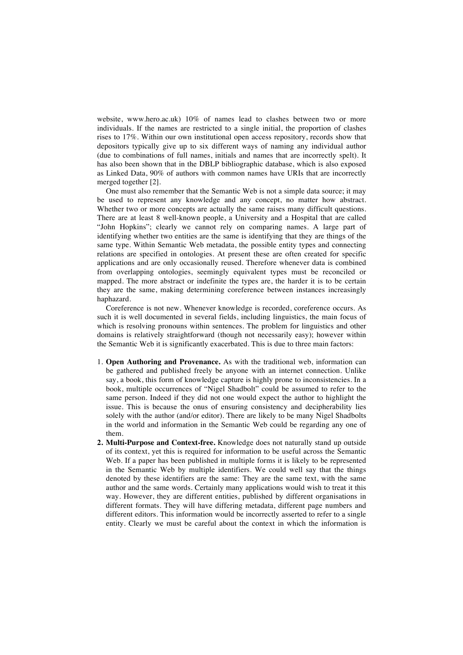website, www.hero.ac.uk) 10% of names lead to clashes between two or more individuals. If the names are restricted to a single initial, the proportion of clashes rises to 17%. Within our own institutional open access repository, records show that depositors typically give up to six different ways of naming any individual author (due to combinations of full names, initials and names that are incorrectly spelt). It has also been shown that in the DBLP bibliographic database, which is also exposed as Linked Data, 90% of authors with common names have URIs that are incorrectly merged together [2].

One must also remember that the Semantic Web is not a simple data source; it may be used to represent any knowledge and any concept, no matter how abstract. Whether two or more concepts are actually the same raises many difficult questions. There are at least 8 well-known people, a University and a Hospital that are called "John Hopkins"; clearly we cannot rely on comparing names. A large part of identifying whether two entities are the same is identifying that they are things of the same type. Within Semantic Web metadata, the possible entity types and connecting relations are specified in ontologies. At present these are often created for specific applications and are only occasionally reused. Therefore whenever data is combined from overlapping ontologies, seemingly equivalent types must be reconciled or mapped. The more abstract or indefinite the types are, the harder it is to be certain they are the same, making determining coreference between instances increasingly haphazard.

Coreference is not new. Whenever knowledge is recorded, coreference occurs. As such it is well documented in several fields, including linguistics, the main focus of which is resolving pronouns within sentences. The problem for linguistics and other domains is relatively straightforward (though not necessarily easy); however within the Semantic Web it is significantly exacerbated. This is due to three main factors:

- 1. **Open Authoring and Provenance.** As with the traditional web, information can be gathered and published freely be anyone with an internet connection. Unlike say, a book, this form of knowledge capture is highly prone to inconsistencies. In a book, multiple occurrences of "Nigel Shadbolt" could be assumed to refer to the same person. Indeed if they did not one would expect the author to highlight the issue. This is because the onus of ensuring consistency and decipherability lies solely with the author (and/or editor). There are likely to be many Nigel Shadbolts in the world and information in the Semantic Web could be regarding any one of them.
- **2. Multi-Purpose and Context-free.** Knowledge does not naturally stand up outside of its context, yet this is required for information to be useful across the Semantic Web. If a paper has been published in multiple forms it is likely to be represented in the Semantic Web by multiple identifiers. We could well say that the things denoted by these identifiers are the same: They are the same text, with the same author and the same words. Certainly many applications would wish to treat it this way. However, they are different entities, published by different organisations in different formats. They will have differing metadata, different page numbers and different editors. This information would be incorrectly asserted to refer to a single entity. Clearly we must be careful about the context in which the information is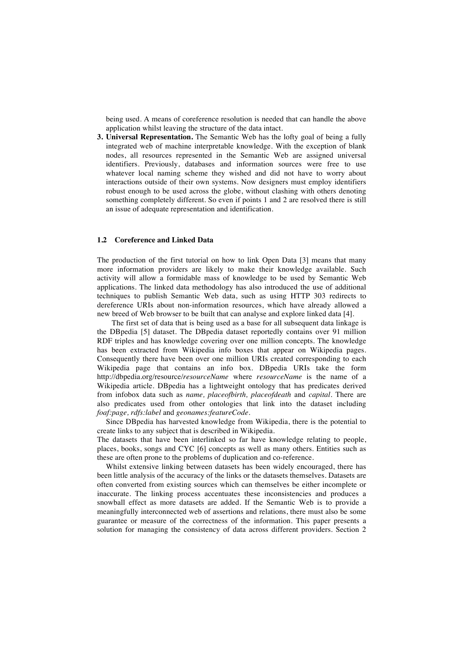being used. A means of coreference resolution is needed that can handle the above application whilst leaving the structure of the data intact.

**3. Universal Representation.** The Semantic Web has the lofty goal of being a fully integrated web of machine interpretable knowledge. With the exception of blank nodes, all resources represented in the Semantic Web are assigned universal identifiers. Previously, databases and information sources were free to use whatever local naming scheme they wished and did not have to worry about interactions outside of their own systems. Now designers must employ identifiers robust enough to be used across the globe, without clashing with others denoting something completely different. So even if points 1 and 2 are resolved there is still an issue of adequate representation and identification.

### **1.2 Coreference and Linked Data**

The production of the first tutorial on how to link Open Data [3] means that many more information providers are likely to make their knowledge available. Such activity will allow a formidable mass of knowledge to be used by Semantic Web applications. The linked data methodology has also introduced the use of additional techniques to publish Semantic Web data, such as using HTTP 303 redirects to dereference URIs about non-information resources, which have already allowed a new breed of Web browser to be built that can analyse and explore linked data [4].

 The first set of data that is being used as a base for all subsequent data linkage is the DBpedia [5] dataset. The DBpedia dataset reportedly contains over 91 million RDF triples and has knowledge covering over one million concepts. The knowledge has been extracted from Wikipedia info boxes that appear on Wikipedia pages. Consequently there have been over one million URIs created corresponding to each Wikipedia page that contains an info box. DBpedia URIs take the form http://dbpedia.org/resource/*resourceName* where *resourceName* is the name of a Wikipedia article. DBpedia has a lightweight ontology that has predicates derived from infobox data such as *name, placeofbirth, placeofdeath* and *capital.* There are also predicates used from other ontologies that link into the dataset including *foaf:page, rdfs:label* and *geonames:featureCode.* 

Since DBpedia has harvested knowledge from Wikipedia, there is the potential to create links to any subject that is described in Wikipedia.

The datasets that have been interlinked so far have knowledge relating to people, places, books, songs and CYC [6] concepts as well as many others. Entities such as these are often prone to the problems of duplication and co-reference.

Whilst extensive linking between datasets has been widely encouraged, there has been little analysis of the accuracy of the links or the datasets themselves. Datasets are often converted from existing sources which can themselves be either incomplete or inaccurate. The linking process accentuates these inconsistencies and produces a snowball effect as more datasets are added. If the Semantic Web is to provide a meaningfully interconnected web of assertions and relations, there must also be some guarantee or measure of the correctness of the information. This paper presents a solution for managing the consistency of data across different providers. Section 2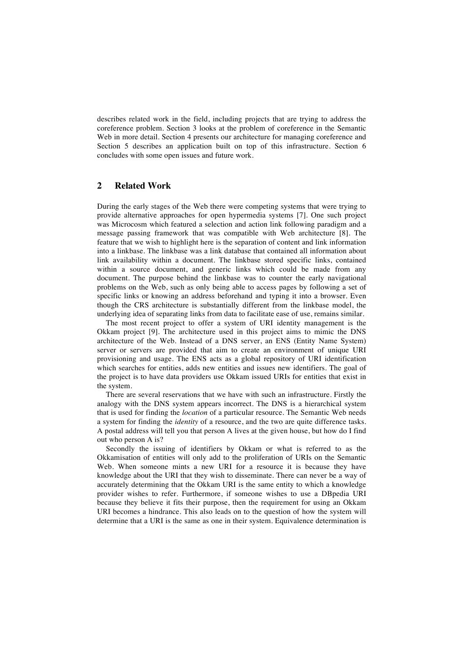describes related work in the field, including projects that are trying to address the coreference problem. Section 3 looks at the problem of coreference in the Semantic Web in more detail. Section 4 presents our architecture for managing coreference and Section 5 describes an application built on top of this infrastructure. Section 6 concludes with some open issues and future work.

## **2 Related Work**

During the early stages of the Web there were competing systems that were trying to provide alternative approaches for open hypermedia systems [7]. One such project was Microcosm which featured a selection and action link following paradigm and a message passing framework that was compatible with Web architecture [8]. The feature that we wish to highlight here is the separation of content and link information into a linkbase. The linkbase was a link database that contained all information about link availability within a document. The linkbase stored specific links, contained within a source document, and generic links which could be made from any document. The purpose behind the linkbase was to counter the early navigational problems on the Web, such as only being able to access pages by following a set of specific links or knowing an address beforehand and typing it into a browser. Even though the CRS architecture is substantially different from the linkbase model, the underlying idea of separating links from data to facilitate ease of use, remains similar.

The most recent project to offer a system of URI identity management is the Okkam project [9]. The architecture used in this project aims to mimic the DNS architecture of the Web. Instead of a DNS server, an ENS (Entity Name System) server or servers are provided that aim to create an environment of unique URI provisioning and usage. The ENS acts as a global repository of URI identification which searches for entities, adds new entities and issues new identifiers. The goal of the project is to have data providers use Okkam issued URIs for entities that exist in the system.

There are several reservations that we have with such an infrastructure. Firstly the analogy with the DNS system appears incorrect. The DNS is a hierarchical system that is used for finding the *location* of a particular resource. The Semantic Web needs a system for finding the *identity* of a resource, and the two are quite difference tasks. A postal address will tell you that person A lives at the given house, but how do I find out who person A is?

Secondly the issuing of identifiers by Okkam or what is referred to as the Okkamisation of entities will only add to the proliferation of URIs on the Semantic Web. When someone mints a new URI for a resource it is because they have knowledge about the URI that they wish to disseminate. There can never be a way of accurately determining that the Okkam URI is the same entity to which a knowledge provider wishes to refer. Furthermore, if someone wishes to use a DBpedia URI because they believe it fits their purpose, then the requirement for using an Okkam URI becomes a hindrance. This also leads on to the question of how the system will determine that a URI is the same as one in their system. Equivalence determination is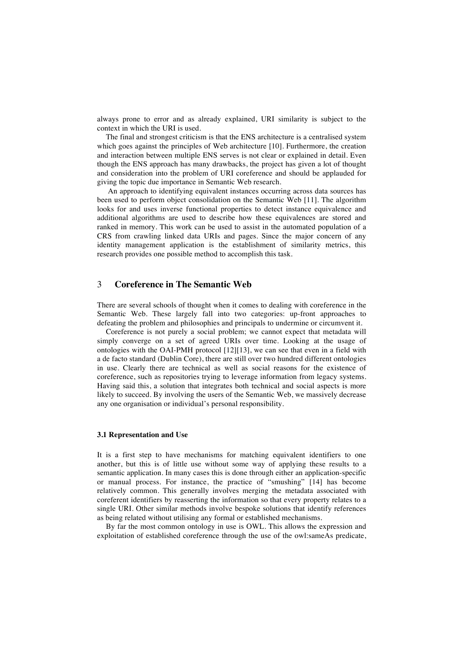always prone to error and as already explained, URI similarity is subject to the context in which the URI is used.

The final and strongest criticism is that the ENS architecture is a centralised system which goes against the principles of Web architecture [10]. Furthermore, the creation and interaction between multiple ENS serves is not clear or explained in detail. Even though the ENS approach has many drawbacks, the project has given a lot of thought and consideration into the problem of URI coreference and should be applauded for giving the topic due importance in Semantic Web research.

 An approach to identifying equivalent instances occurring across data sources has been used to perform object consolidation on the Semantic Web [11]. The algorithm looks for and uses inverse functional properties to detect instance equivalence and additional algorithms are used to describe how these equivalences are stored and ranked in memory. This work can be used to assist in the automated population of a CRS from crawling linked data URIs and pages. Since the major concern of any identity management application is the establishment of similarity metrics, this research provides one possible method to accomplish this task.

### 3 **Coreference in The Semantic Web**

There are several schools of thought when it comes to dealing with coreference in the Semantic Web. These largely fall into two categories: up-front approaches to defeating the problem and philosophies and principals to undermine or circumvent it.

Coreference is not purely a social problem; we cannot expect that metadata will simply converge on a set of agreed URIs over time. Looking at the usage of ontologies with the OAI-PMH protocol [12][13], we can see that even in a field with a de facto standard (Dublin Core), there are still over two hundred different ontologies in use. Clearly there are technical as well as social reasons for the existence of coreference, such as repositories trying to leverage information from legacy systems. Having said this, a solution that integrates both technical and social aspects is more likely to succeed. By involving the users of the Semantic Web, we massively decrease any one organisation or individual's personal responsibility.

#### **3.1 Representation and Use**

It is a first step to have mechanisms for matching equivalent identifiers to one another, but this is of little use without some way of applying these results to a semantic application. In many cases this is done through either an application-specific or manual process. For instance, the practice of "smushing" [14] has become relatively common. This generally involves merging the metadata associated with coreferent identifiers by reasserting the information so that every property relates to a single URI. Other similar methods involve bespoke solutions that identify references as being related without utilising any formal or established mechanisms.

By far the most common ontology in use is OWL. This allows the expression and exploitation of established coreference through the use of the owl:sameAs predicate,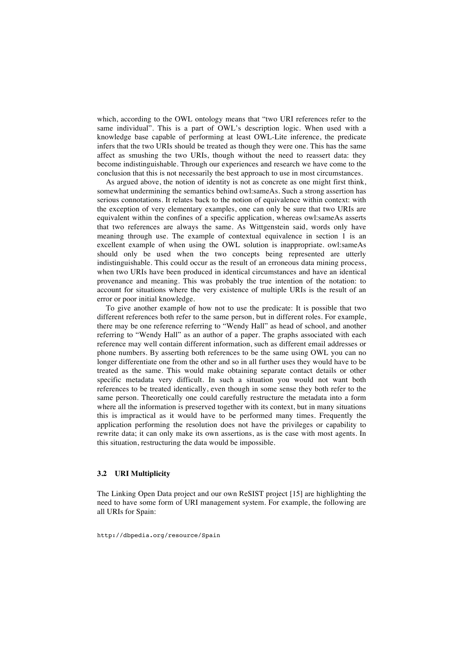which, according to the OWL ontology means that "two URI references refer to the same individual". This is a part of OWL's description logic. When used with a knowledge base capable of performing at least OWL-Lite inference, the predicate infers that the two URIs should be treated as though they were one. This has the same affect as smushing the two URIs, though without the need to reassert data: they become indistinguishable. Through our experiences and research we have come to the conclusion that this is not necessarily the best approach to use in most circumstances.

As argued above, the notion of identity is not as concrete as one might first think, somewhat undermining the semantics behind owl:sameAs. Such a strong assertion has serious connotations. It relates back to the notion of equivalence within context: with the exception of very elementary examples, one can only be sure that two URIs are equivalent within the confines of a specific application, whereas owl:sameAs asserts that two references are always the same. As Wittgenstein said, words only have meaning through use. The example of contextual equivalence in section 1 is an excellent example of when using the OWL solution is inappropriate. owl:sameAs should only be used when the two concepts being represented are utterly indistinguishable. This could occur as the result of an erroneous data mining process, when two URIs have been produced in identical circumstances and have an identical provenance and meaning. This was probably the true intention of the notation: to account for situations where the very existence of multiple URIs is the result of an error or poor initial knowledge.

To give another example of how not to use the predicate: It is possible that two different references both refer to the same person, but in different roles. For example, there may be one reference referring to "Wendy Hall" as head of school, and another referring to "Wendy Hall" as an author of a paper. The graphs associated with each reference may well contain different information, such as different email addresses or phone numbers. By asserting both references to be the same using OWL you can no longer differentiate one from the other and so in all further uses they would have to be treated as the same. This would make obtaining separate contact details or other specific metadata very difficult. In such a situation you would not want both references to be treated identically, even though in some sense they both refer to the same person. Theoretically one could carefully restructure the metadata into a form where all the information is preserved together with its context, but in many situations this is impractical as it would have to be performed many times. Frequently the application performing the resolution does not have the privileges or capability to rewrite data; it can only make its own assertions, as is the case with most agents. In this situation, restructuring the data would be impossible.

### **3.2 URI Multiplicity**

The Linking Open Data project and our own ReSIST project [15] are highlighting the need to have some form of URI management system. For example, the following are all URIs for Spain:

http://dbpedia.org/resource/Spain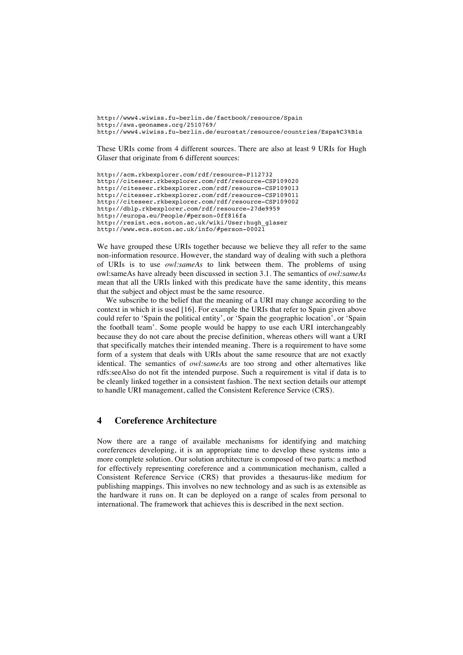http://www4.wiwiss.fu-berlin.de/factbook/resource/Spain http://sws.geonames.org/2510769/ http://www4.wiwiss.fu-berlin.de/eurostat/resource/countries/Espa%C3%B1a

These URIs come from 4 different sources. There are also at least 9 URIs for Hugh Glaser that originate from 6 different sources:

```
http://acm.rkbexplorer.com/rdf/resource-P112732
http://citeseer.rkbexplorer.com/rdf/resource-CSP109020
http://citeseer.rkbexplorer.com/rdf/resource-CSP109013
http://citeseer.rkbexplorer.com/rdf/resource-CSP109011
http://citeseer.rkbexplorer.com/rdf/resource-CSP109002
http://dblp.rkbexplorer.com/rdf/resource-27de9959
http://europa.eu/People/#person-0ff816fa
http://resist.ecs.soton.ac.uk/wiki/User:hugh_glaser
http://www.ecs.soton.ac.uk/info/#person-00021
```
We have grouped these URIs together because we believe they all refer to the same non-information resource. However, the standard way of dealing with such a plethora of URIs is to use *owl:sameAs* to link between them. The problems of using owl:sameAs have already been discussed in section 3.1. The semantics of *owl:sameAs* mean that all the URIs linked with this predicate have the same identity, this means that the subject and object must be the same resource.

We subscribe to the belief that the meaning of a URI may change according to the context in which it is used [16]. For example the URIs that refer to Spain given above could refer to 'Spain the political entity', or 'Spain the geographic location', or 'Spain the football team'. Some people would be happy to use each URI interchangeably because they do not care about the precise definition, whereas others will want a URI that specifically matches their intended meaning. There is a requirement to have some form of a system that deals with URIs about the same resource that are not exactly identical. The semantics of *owl:sameAs* are too strong and other alternatives like rdfs:seeAlso do not fit the intended purpose. Such a requirement is vital if data is to be cleanly linked together in a consistent fashion. The next section details our attempt to handle URI management, called the Consistent Reference Service (CRS).

### **4 Coreference Architecture**

Now there are a range of available mechanisms for identifying and matching coreferences developing, it is an appropriate time to develop these systems into a more complete solution. Our solution architecture is composed of two parts: a method for effectively representing coreference and a communication mechanism, called a Consistent Reference Service (CRS) that provides a thesaurus-like medium for publishing mappings. This involves no new technology and as such is as extensible as the hardware it runs on. It can be deployed on a range of scales from personal to international. The framework that achieves this is described in the next section.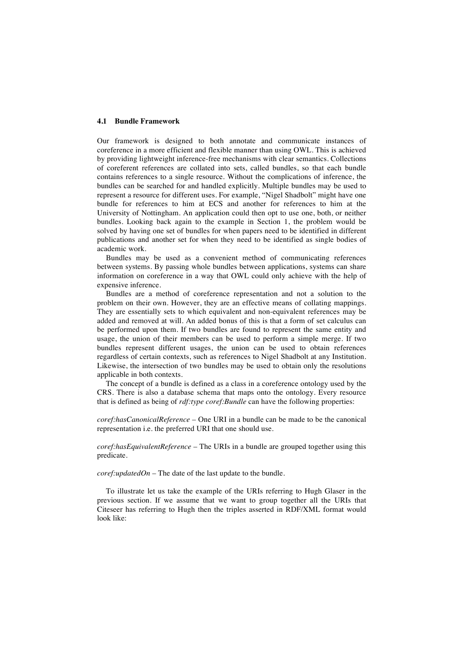#### **4.1 Bundle Framework**

Our framework is designed to both annotate and communicate instances of coreference in a more efficient and flexible manner than using OWL. This is achieved by providing lightweight inference-free mechanisms with clear semantics. Collections of coreferent references are collated into sets, called bundles, so that each bundle contains references to a single resource. Without the complications of inference, the bundles can be searched for and handled explicitly. Multiple bundles may be used to represent a resource for different uses. For example, "Nigel Shadbolt" might have one bundle for references to him at ECS and another for references to him at the University of Nottingham. An application could then opt to use one, both, or neither bundles. Looking back again to the example in Section 1, the problem would be solved by having one set of bundles for when papers need to be identified in different publications and another set for when they need to be identified as single bodies of academic work.

Bundles may be used as a convenient method of communicating references between systems. By passing whole bundles between applications, systems can share information on coreference in a way that OWL could only achieve with the help of expensive inference.

Bundles are a method of coreference representation and not a solution to the problem on their own. However, they are an effective means of collating mappings. They are essentially sets to which equivalent and non-equivalent references may be added and removed at will. An added bonus of this is that a form of set calculus can be performed upon them. If two bundles are found to represent the same entity and usage, the union of their members can be used to perform a simple merge. If two bundles represent different usages, the union can be used to obtain references regardless of certain contexts, such as references to Nigel Shadbolt at any Institution. Likewise, the intersection of two bundles may be used to obtain only the resolutions applicable in both contexts.

The concept of a bundle is defined as a class in a coreference ontology used by the CRS. There is also a database schema that maps onto the ontology. Every resource that is defined as being of *rdf:type coref:Bundle* can have the following properties:

*coref:hasCanonicalReference* – One URI in a bundle can be made to be the canonical representation i.e. the preferred URI that one should use.

*coref:hasEquivalentReference* – The URIs in a bundle are grouped together using this predicate.

*coref:updatedOn* – The date of the last update to the bundle.

To illustrate let us take the example of the URIs referring to Hugh Glaser in the previous section. If we assume that we want to group together all the URIs that Citeseer has referring to Hugh then the triples asserted in RDF/XML format would look like: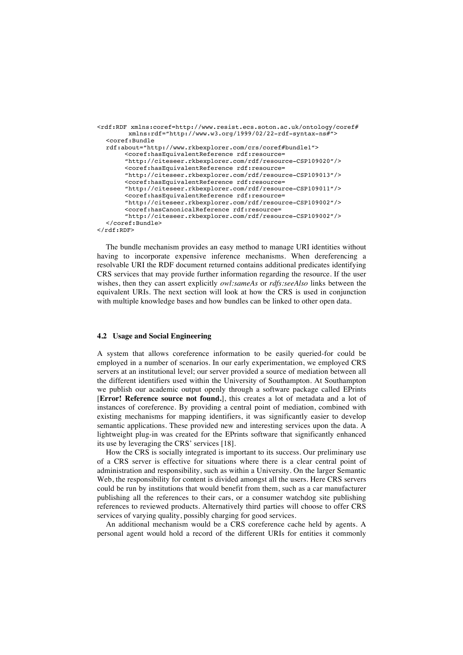```
<rdf:RDF xmlns:coref=http://www.resist.ecs.soton.ac.uk/ontology/coref#
        xmlns:rdf="http://www.w3.org/1999/02/22-rdf-syntax-ns#">
  <coref:Bundle 
  rdf:about="http://www.rkbexplorer.com/crs/coref#bundle1"> 
       <coref:hasEquivalentReference rdf:resource=
       "http://citeseer.rkbexplorer.com/rdf/resource-CSP109020"/>
       <coref:hasEquivalentReference rdf:resource=
       "http://citeseer.rkbexplorer.com/rdf/resource-CSP109013"/>
       <coref:hasEquivalentReference rdf:resource=
       "http://citeseer.rkbexplorer.com/rdf/resource-CSP109011"/>
       <coref:hasEquivalentReference rdf:resource=
       "http://citeseer.rkbexplorer.com/rdf/resource-CSP109002"/>
       <coref:hasCanonicalReference rdf:resource=
       "http://citeseer.rkbexplorer.com/rdf/resource-CSP109002"/>
  </coref:Bundle>
</rdf:RDF>
```
The bundle mechanism provides an easy method to manage URI identities without having to incorporate expensive inference mechanisms. When dereferencing a resolvable URI the RDF document returned contains additional predicates identifying CRS services that may provide further information regarding the resource. If the user wishes, then they can assert explicitly *owl:sameAs* or *rdfs:seeAlso* links between the equivalent URIs. The next section will look at how the CRS is used in conjunction with multiple knowledge bases and how bundles can be linked to other open data.

#### **4.2 Usage and Social Engineering**

A system that allows coreference information to be easily queried-for could be employed in a number of scenarios. In our early experimentation, we employed CRS servers at an institutional level; our server provided a source of mediation between all the different identifiers used within the University of Southampton. At Southampton we publish our academic output openly through a software package called EPrints [**Error! Reference source not found.**], this creates a lot of metadata and a lot of instances of coreference. By providing a central point of mediation, combined with existing mechanisms for mapping identifiers, it was significantly easier to develop semantic applications. These provided new and interesting services upon the data. A lightweight plug-in was created for the EPrints software that significantly enhanced its use by leveraging the CRS' services [18].

How the CRS is socially integrated is important to its success. Our preliminary use of a CRS server is effective for situations where there is a clear central point of administration and responsibility, such as within a University. On the larger Semantic Web, the responsibility for content is divided amongst all the users. Here CRS servers could be run by institutions that would benefit from them, such as a car manufacturer publishing all the references to their cars, or a consumer watchdog site publishing references to reviewed products. Alternatively third parties will choose to offer CRS services of varying quality, possibly charging for good services.

An additional mechanism would be a CRS coreference cache held by agents. A personal agent would hold a record of the different URIs for entities it commonly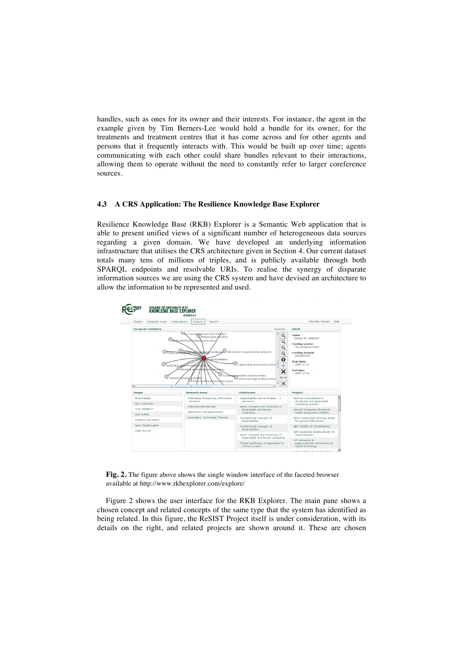handles, such as ones for its owner and their interests. For instance, the agent in the example given by Tim Berners-Lee would hold a bundle for its owner, for the treatments and treatment centres that it has come across and for other agents and persons that it frequently interacts with. This would be built up over time; agents communicating with each other could share bundles relevant to their interactions, allowing them to operate without the need to constantly refer to larger coreference sources.

#### **4.3 A CRS Application: The Resilience Knowledge Base Explorer**

Resilience Knowledge Base (RKB) Explorer is a Semantic Web application that is able to present unified views of a significant number of heterogeneous data sources regarding a given domain. We have developed an underlying information infrastructure that utilises the CRS architecture given in Section 4. Our current dataset totals many tens of millions of triples, and is publicly available through both SPARQL endpoints and resolvable URIs. To realise the synergy of disparate information sources we are using the CRS system and have devised an architecture to allow the information to be represented and used.



**Fig. 2.** The figure above shows the single window interface of the faceted browser available at http://www.rkbexplorer.com/explore/

Figure 2 shows the user interface for the RKB Explorer. The main pane shows a chosen concept and related concepts of the same type that the system has identified as being related. In this figure, the ReSIST Project itself is under consideration, with its details on the right, and related projects are shown around it. These are chosen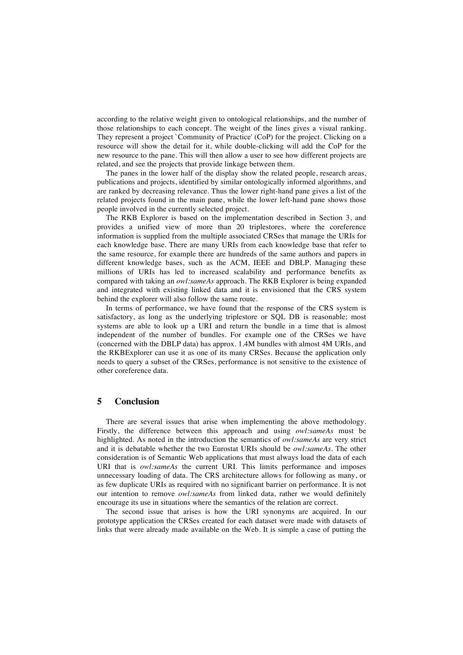according to the relative weight given to ontological relationships, and the number of those relationships to each concept. The weight of the lines gives a visual ranking. They represent a project `Community of Practice' (CoP) for the project. Clicking on a resource will show the detail for it, while double-clicking will add the CoP for the new resource to the pane. This will then allow a user to see how different projects are related, and see the projects that provide linkage between them.

The panes in the lower half of the display show the related people, research areas, publications and projects, identified by similar ontologically informed algorithms, and are ranked by decreasing relevance. Thus the lower right-hand pane gives a list of the related projects found in the main pane, while the lower left-hand pane shows those people involved in the currently selected project.

The RKB Explorer is based on the implementation described in Section 3, and provides a unified view of more than 20 triplestores, where the coreference information is supplied from the multiple associated CRSes that manage the URIs for each knowledge base. There are many URIs from each knowledge base that refer to the same resource, for example there are hundreds of the same authors and papers in different knowledge bases, such as the ACM, IEEE and DBLP. Managing these millions of URIs has led to increased scalability and performance benefits as compared with taking an *owl:sameAs* approach. The RKB Explorer is being expanded and integrated with existing linked data and it is envisioned that the CRS system behind the explorer will also follow the same route.

In terms of performance, we have found that the response of the CRS system is satisfactory, as long as the underlying triplestore or SQL DB is reasonable; most systems are able to look up a URI and return the bundle in a time that is almost independent of the number of bundles. For example one of the CRSes we have (concerned with the DBLP data) has approx. 1.4M bundles with almost 4M URIs, and the RKBExplorer can use it as one of its many CRSes. Because the application only needs to query a subset of the CRSes, performance is not sensitive to the existence of other coreference data.

### **5 Conclusion**

There are several issues that arise when implementing the above methodology. Firstly, the difference between this approach and using *owl:sameAs* must be highlighted. As noted in the introduction the semantics of *owl:sameAs* are very strict and it is debatable whether the two Eurostat URIs should be *owl:sameAs*. The other consideration is of Semantic Web applications that must always load the data of each URI that is *owl:sameAs* the current URI. This limits performance and imposes unnecessary loading of data. The CRS architecture allows for following as many, or as few duplicate URIs as required with no significant barrier on performance. It is not our intention to remove *owl:sameAs* from linked data, rather we would definitely encourage its use in situations where the semantics of the relation are correct.

The second issue that arises is how the URI synonyms are acquired. In our prototype application the CRSes created for each dataset were made with datasets of links that were already made available on the Web. It is simple a case of putting the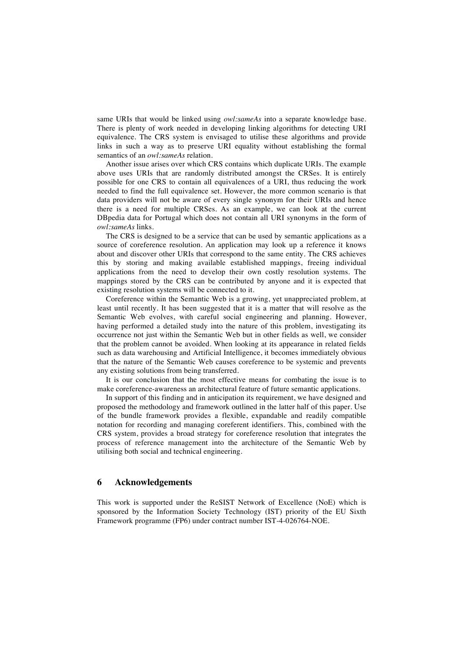same URIs that would be linked using *owl:sameAs* into a separate knowledge base. There is plenty of work needed in developing linking algorithms for detecting URI equivalence. The CRS system is envisaged to utilise these algorithms and provide links in such a way as to preserve URI equality without establishing the formal semantics of an *owl:sameAs* relation.

Another issue arises over which CRS contains which duplicate URIs. The example above uses URIs that are randomly distributed amongst the CRSes. It is entirely possible for one CRS to contain all equivalences of a URI, thus reducing the work needed to find the full equivalence set. However, the more common scenario is that data providers will not be aware of every single synonym for their URIs and hence there is a need for multiple CRSes. As an example, we can look at the current DBpedia data for Portugal which does not contain all URI synonyms in the form of *owl:sameAs* links.

The CRS is designed to be a service that can be used by semantic applications as a source of coreference resolution. An application may look up a reference it knows about and discover other URIs that correspond to the same entity. The CRS achieves this by storing and making available established mappings, freeing individual applications from the need to develop their own costly resolution systems. The mappings stored by the CRS can be contributed by anyone and it is expected that existing resolution systems will be connected to it.

Coreference within the Semantic Web is a growing, yet unappreciated problem, at least until recently. It has been suggested that it is a matter that will resolve as the Semantic Web evolves, with careful social engineering and planning. However, having performed a detailed study into the nature of this problem, investigating its occurrence not just within the Semantic Web but in other fields as well, we consider that the problem cannot be avoided. When looking at its appearance in related fields such as data warehousing and Artificial Intelligence, it becomes immediately obvious that the nature of the Semantic Web causes coreference to be systemic and prevents any existing solutions from being transferred.

It is our conclusion that the most effective means for combating the issue is to make coreference-awareness an architectural feature of future semantic applications.

In support of this finding and in anticipation its requirement, we have designed and proposed the methodology and framework outlined in the latter half of this paper. Use of the bundle framework provides a flexible, expandable and readily compatible notation for recording and managing coreferent identifiers. This, combined with the CRS system, provides a broad strategy for coreference resolution that integrates the process of reference management into the architecture of the Semantic Web by utilising both social and technical engineering.

### **6 Acknowledgements**

This work is supported under the ReSIST Network of Excellence (NoE) which is sponsored by the Information Society Technology (IST) priority of the EU Sixth Framework programme (FP6) under contract number IST-4-026764-NOE.